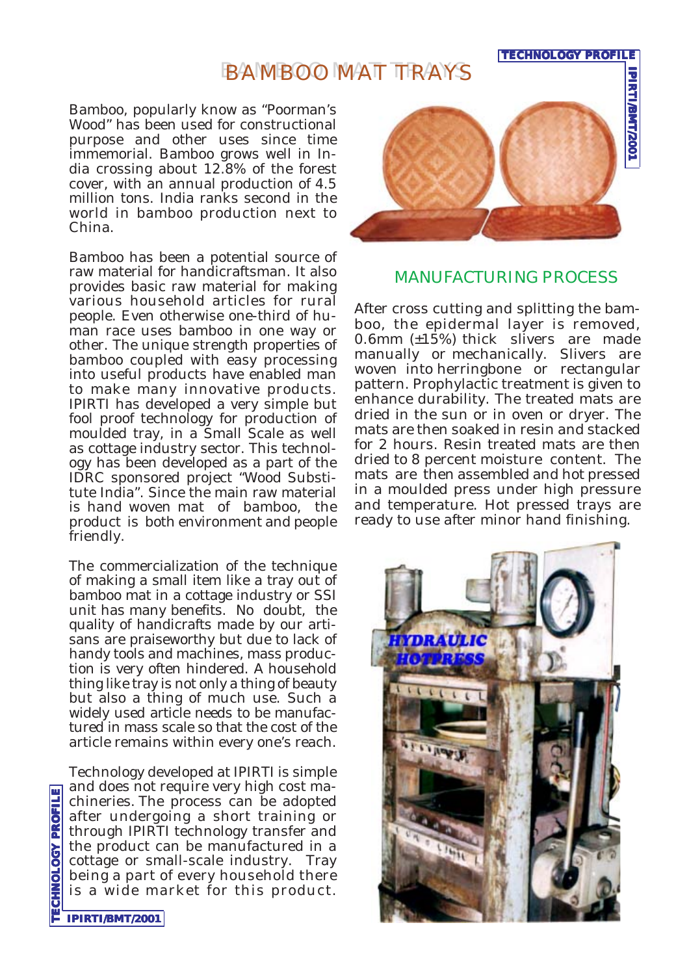## BAMBOO MAT TRAYS

Bamboo, popularly know as "Poorman's Wood" has been used for constructional purpose and other uses since time immemorial. Bamboo grows well in India crossing about 12.8% of the forest cover, with an annual production of 4.5 million tons. India ranks second in the world in bamboo production next to China.

Bamboo has been a potential source of raw material for handicraftsman. It also provides basic raw material for making various household articles for rural people. Even otherwise one-third of human race uses bamboo in one way or other. The unique strength properties of bamboo coupled with easy processing into useful products have enabled man to make many innovative products. IPIRTI has developed a very simple but fool proof technology for production of moulded tray, in a Small Scale as well as cottage industry sector. This technology has been developed as a part of the IDRC sponsored project "Wood Substitute India". Since the main raw material is hand woven mat of bamboo, the product is both environment and people friendly.

The commercialization of the technique of making a small item like a tray out of bamboo mat in a cottage industry or SSI unit has many benefits. No doubt, the quality of handicrafts made by our artisans are praiseworthy but due to lack of handy tools and machines, mass production is very often hindered. A household thing like tray is not only a thing of beauty but also a thing of much use. Such a widely used article needs to be manufactured in mass scale so that the cost of the article remains within every one's reach.

Technology developed at IPIRTI is simple and does not require very high cost machineries. The process can be adopted after undergoing a short training or through IPIRTI technology transfer and the product can be manufactured in a cottage or small-scale industry. Tray being a part of every household there is a wide market for this product.



**TECHNOLOGY PROFILE**

## MANUFACTURING PROCESS

After cross cutting and splitting the bamboo, the epidermal layer is removed, 0.6mm (±15%) thick slivers are made manually or mechanically. Slivers are woven into herringbone or rectangular pattern. Prophylactic treatment is given to enhance durability. The treated mats are dried in the sun or in oven or dryer. The mats are then soaked in resin and stacked for 2 hours. Resin treated mats are then dried to 8 percent moisture content. The mats are then assembled and hot pressed in a moulded press under high pressure and temperature. Hot pressed trays are ready to use after minor hand finishing.



**TECHNOLOGY PROFILE TECHNOLOGY PROFILE**

**IPIRTI/BMT/2001**